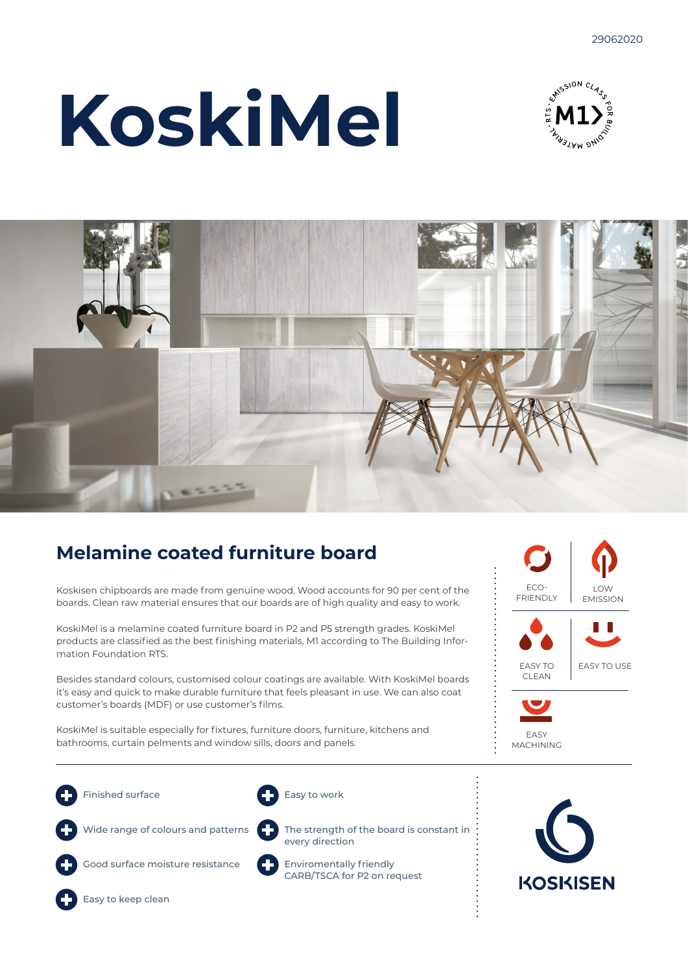# **KoskiMel**





# **Melamine coated furniture board**

Koskisen chipboards are made from genuine wood. Wood accounts for 90 per cent of the boards. Clean raw material ensures that our boards are of high quality and easy to work.

KoskiMel is a melamine coated furniture board in P2 and P5 strength grades. KoskiMel products are classified as the best finishing materials, M1 according to The Building Information Foundation RTS.

Besides standard colours, customised colour coatings are available. With KoskiMel boards it's easy and quick to make durable furniture that feels pleasant in use. We can also coat customer's boards (MDF) or use customer's films.

KoskiMel is suitable especially for fixtures, furniture doors, furniture, kitchens and bathrooms, curtain pelments and window sills, doors and panels.

Finished surface

Easy to work

Wide range of colours and patterns

Good surface moisture resistance





every direction Enviromentally friendly CARB/TSCA for P2 on request









Easy to keep clean